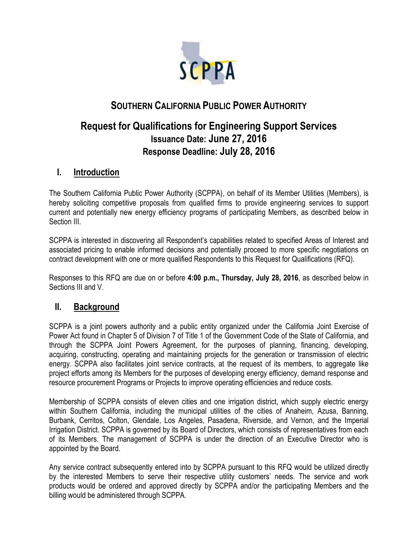

# **SOUTHERN CALIFORNIA PUBLIC POWER AUTHORITY**

# **Request for Qualifications for Engineering Support Services Issuance Date: June 27, 2016 Response Deadline: July 28, 2016**

# **I. Introduction**

The Southern California Public Power Authority (SCPPA), on behalf of its Member Utilities (Members), is hereby soliciting competitive proposals from qualified firms to provide engineering services to support current and potentially new energy efficiency programs of participating Members, as described below in Section III.

SCPPA is interested in discovering all Respondent's capabilities related to specified Areas of Interest and associated pricing to enable informed decisions and potentially proceed to more specific negotiations on contract development with one or more qualified Respondents to this Request for Qualifications (RFQ).

Responses to this RFQ are due on or before **4:00 p.m., Thursday, July 28, 2016**, as described below in Sections III and V.

## **II. Background**

SCPPA is a joint powers authority and a public entity organized under the California Joint Exercise of Power Act found in Chapter 5 of Division 7 of Title 1 of the Government Code of the State of California, and through the SCPPA Joint Powers Agreement, for the purposes of planning, financing, developing, acquiring, constructing, operating and maintaining projects for the generation or transmission of electric energy. SCPPA also facilitates joint service contracts, at the request of its members, to aggregate like project efforts among its Members for the purposes of developing energy efficiency, demand response and resource procurement Programs or Projects to improve operating efficiencies and reduce costs.

Membership of SCPPA consists of eleven cities and one irrigation district, which supply electric energy within Southern California, including the municipal utilities of the cities of Anaheim, Azusa, Banning, Burbank, Cerritos, Colton, Glendale, Los Angeles, Pasadena, Riverside, and Vernon, and the Imperial Irrigation District. SCPPA is governed by its Board of Directors, which consists of representatives from each of its Members. The management of SCPPA is under the direction of an Executive Director who is appointed by the Board.

Any service contract subsequently entered into by SCPPA pursuant to this RFQ would be utilized directly by the interested Members to serve their respective utility customers' needs. The service and work products would be ordered and approved directly by SCPPA and/or the participating Members and the billing would be administered through SCPPA.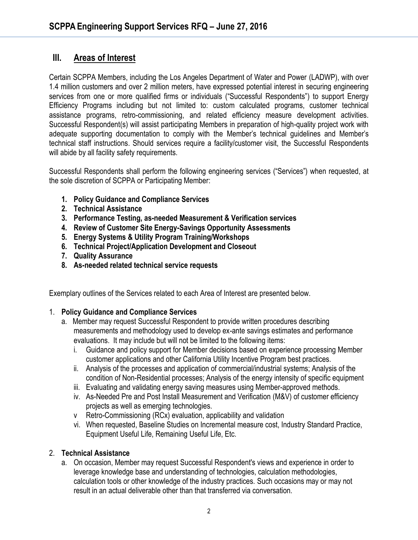### **III. Areas of Interest**

Certain SCPPA Members, including the Los Angeles Department of Water and Power (LADWP), with over 1.4 million customers and over 2 million meters, have expressed potential interest in securing engineering services from one or more qualified firms or individuals ("Successful Respondents") to support Energy Efficiency Programs including but not limited to: custom calculated programs, customer technical assistance programs, retro-commissioning, and related efficiency measure development activities. Successful Respondent(s) will assist participating Members in preparation of high-quality project work with adequate supporting documentation to comply with the Member's technical guidelines and Member's technical staff instructions. Should services require a facility/customer visit, the Successful Respondents will abide by all facility safety requirements.

Successful Respondents shall perform the following engineering services ("Services") when requested, at the sole discretion of SCPPA or Participating Member:

- **1. Policy Guidance and Compliance Services**
- **2. Technical Assistance**
- **3. Performance Testing, as-needed Measurement & Verification services**
- **4. Review of Customer Site Energy-Savings Opportunity Assessments**
- **5. Energy Systems & Utility Program Training/Workshops**
- **6. Technical Project/Application Development and Closeout**
- **7. Quality Assurance**
- **8. As-needed related technical service requests**

Exemplary outlines of the Services related to each Area of Interest are presented below.

#### 1. **Policy Guidance and Compliance Services**

- a. Member may request Successful Respondent to provide written procedures describing measurements and methodology used to develop ex-ante savings estimates and performance evaluations. It may include but will not be limited to the following items:
	- i. Guidance and policy support for Member decisions based on experience processing Member customer applications and other California Utility Incentive Program best practices.
	- ii. Analysis of the processes and application of commercial/industrial systems; Analysis of the condition of Non-Residential processes; Analysis of the energy intensity of specific equipment
	- iii. Evaluating and validating energy saving measures using Member-approved methods.
	- iv. As-Needed Pre and Post Install Measurement and Verification (M&V) of customer efficiency projects as well as emerging technologies.
	- v Retro-Commissioning (RCx) evaluation, applicability and validation
	- vi. When requested, Baseline Studies on Incremental measure cost, Industry Standard Practice, Equipment Useful Life, Remaining Useful Life, Etc.

#### 2. **Technical Assistance**

a. On occasion, Member may request Successful Respondent's views and experience in order to leverage knowledge base and understanding of technologies, calculation methodologies, calculation tools or other knowledge of the industry practices. Such occasions may or may not result in an actual deliverable other than that transferred via conversation.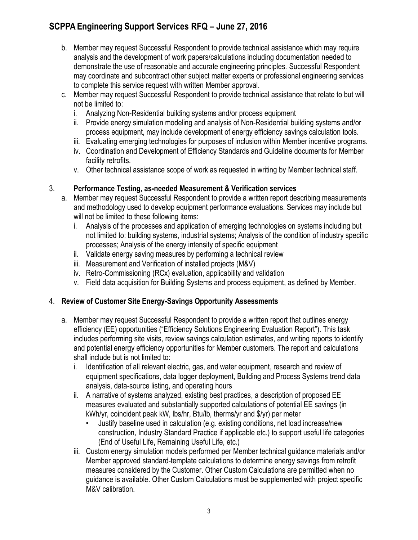- b. Member may request Successful Respondent to provide technical assistance which may require analysis and the development of work papers/calculations including documentation needed to demonstrate the use of reasonable and accurate engineering principles. Successful Respondent may coordinate and subcontract other subject matter experts or professional engineering services to complete this service request with written Member approval.
- c. Member may request Successful Respondent to provide technical assistance that relate to but will not be limited to:
	- i. Analyzing Non-Residential building systems and/or process equipment
	- ii. Provide energy simulation modeling and analysis of Non-Residential building systems and/or process equipment, may include development of energy efficiency savings calculation tools.
	- iii. Evaluating emerging technologies for purposes of inclusion within Member incentive programs.
	- iv. Coordination and Development of Efficiency Standards and Guideline documents for Member facility retrofits.
	- v. Other technical assistance scope of work as requested in writing by Member technical staff.

### 3. **Performance Testing, as-needed Measurement & Verification services**

- a. Member may request Successful Respondent to provide a written report describing measurements and methodology used to develop equipment performance evaluations. Services may include but will not be limited to these following items:
	- i. Analysis of the processes and application of emerging technologies on systems including but not limited to: building systems, industrial systems; Analysis of the condition of industry specific processes; Analysis of the energy intensity of specific equipment
	- ii. Validate energy saving measures by performing a technical review
	- iii. Measurement and Verification of installed projects (M&V)
	- iv. Retro-Commissioning (RCx) evaluation, applicability and validation
	- v. Field data acquisition for Building Systems and process equipment, as defined by Member.

### 4. **Review of Customer Site Energy-Savings Opportunity Assessments**

- a. Member may request Successful Respondent to provide a written report that outlines energy efficiency (EE) opportunities ("Efficiency Solutions Engineering Evaluation Report"). This task includes performing site visits, review savings calculation estimates, and writing reports to identify and potential energy efficiency opportunities for Member customers. The report and calculations shall include but is not limited to:
	- i. Identification of all relevant electric, gas, and water equipment, research and review of equipment specifications, data logger deployment, Building and Process Systems trend data analysis, data-source listing, and operating hours
	- ii. A narrative of systems analyzed, existing best practices, a description of proposed EE measures evaluated and substantially supported calculations of potential EE savings (in kWh/yr, coincident peak kW, lbs/hr, Btu/lb, therms/yr and \$/yr) per meter
		- Justify baseline used in calculation (e.g. existing conditions, net load increase/new construction, Industry Standard Practice if applicable etc.) to support useful life categories (End of Useful Life, Remaining Useful Life, etc.)
	- iii. Custom energy simulation models performed per Member technical guidance materials and/or Member approved standard-template calculations to determine energy savings from retrofit measures considered by the Customer. Other Custom Calculations are permitted when no guidance is available. Other Custom Calculations must be supplemented with project specific M&V calibration.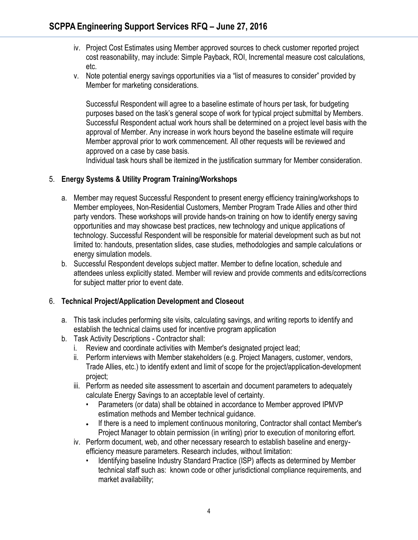- iv. Project Cost Estimates using Member approved sources to check customer reported project cost reasonability, may include: Simple Payback, ROI, Incremental measure cost calculations, etc.
- v. Note potential energy savings opportunities via a "list of measures to consider" provided by Member for marketing considerations.

Successful Respondent will agree to a baseline estimate of hours per task, for budgeting purposes based on the task's general scope of work for typical project submittal by Members. Successful Respondent actual work hours shall be determined on a project level basis with the approval of Member. Any increase in work hours beyond the baseline estimate will require Member approval prior to work commencement. All other requests will be reviewed and approved on a case by case basis.

Individual task hours shall be itemized in the justification summary for Member consideration.

### 5. **Energy Systems & Utility Program Training/Workshops**

- a. Member may request Successful Respondent to present energy efficiency training/workshops to Member employees, Non-Residential Customers, Member Program Trade Allies and other third party vendors. These workshops will provide hands-on training on how to identify energy saving opportunities and may showcase best practices, new technology and unique applications of technology. Successful Respondent will be responsible for material development such as but not limited to: handouts, presentation slides, case studies, methodologies and sample calculations or energy simulation models.
- b. Successful Respondent develops subject matter. Member to define location, schedule and attendees unless explicitly stated. Member will review and provide comments and edits/corrections for subject matter prior to event date.

### 6. **Technical Project/Application Development and Closeout**

- a. This task includes performing site visits, calculating savings, and writing reports to identify and establish the technical claims used for incentive program application
- b. Task Activity Descriptions Contractor shall:
	- i. Review and coordinate activities with Member's designated project lead;
	- ii. Perform interviews with Member stakeholders (e.g. Project Managers, customer, vendors, Trade Allies, etc.) to identify extent and limit of scope for the project/application-development project;
	- iii. Perform as needed site assessment to ascertain and document parameters to adequately calculate Energy Savings to an acceptable level of certainty.
		- Parameters (or data) shall be obtained in accordance to Member approved IPMVP estimation methods and Member technical guidance.
		- If there is a need to implement continuous monitoring, Contractor shall contact Member's Project Manager to obtain permission (in writing) prior to execution of monitoring effort.
	- iv. Perform document, web, and other necessary research to establish baseline and energyefficiency measure parameters. Research includes, without limitation:
		- Identifying baseline Industry Standard Practice (ISP) affects as determined by Member technical staff such as: known code or other jurisdictional compliance requirements, and market availability;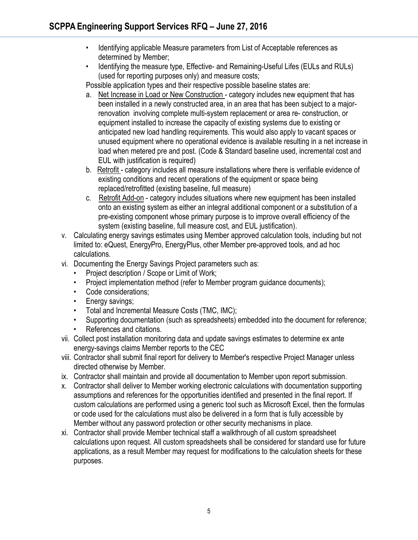- Identifying applicable Measure parameters from List of Acceptable references as determined by Member;
- Identifying the measure type, Effective- and Remaining-Useful Lifes (EULs and RULs) (used for reporting purposes only) and measure costs;

Possible application types and their respective possible baseline states are:

- a. Net Increase in Load or New Construction category includes new equipment that has been installed in a newly constructed area, in an area that has been subject to a majorrenovation involving complete multi-system replacement or area re- construction, or equipment installed to increase the capacity of existing systems due to existing or anticipated new load handling requirements. This would also apply to vacant spaces or unused equipment where no operational evidence is available resulting in a net increase in load when metered pre and post. (Code & Standard baseline used, incremental cost and EUL with justification is required)
- b. Retrofit category includes all measure installations where there is verifiable evidence of existing conditions and recent operations of the equipment or space being replaced/retrofitted (existing baseline, full measure)
- c. Retrofit Add-on category includes situations where new equipment has been installed onto an existing system as either an integral additional component or a substitution of a pre-existing component whose primary purpose is to improve overall efficiency of the system (existing baseline, full measure cost, and EUL justification).
- v. Calculating energy savings estimates using Member approved calculation tools, including but not limited to: eQuest, EnergyPro, EnergyPlus, other Member pre-approved tools, and ad hoc calculations.
- vi. Documenting the Energy Savings Project parameters such as:
	- Project description / Scope or Limit of Work;
	- Project implementation method (refer to Member program guidance documents);
	- Code considerations;
	- Energy savings;
	- Total and Incremental Measure Costs (TMC, IMC);
	- Supporting documentation (such as spreadsheets) embedded into the document for reference;
	- References and citations.
- vii. Collect post installation monitoring data and update savings estimates to determine ex ante energy-savings claims Member reports to the CEC
- viii. Contractor shall submit final report for delivery to Member's respective Project Manager unless directed otherwise by Member.
- ix. Contractor shall maintain and provide all documentation to Member upon report submission.
- x. Contractor shall deliver to Member working electronic calculations with documentation supporting assumptions and references for the opportunities identified and presented in the final report. If custom calculations are performed using a generic tool such as Microsoft Excel, then the formulas or code used for the calculations must also be delivered in a form that is fully accessible by Member without any password protection or other security mechanisms in place.
- xi. Contractor shall provide Member technical staff a walkthrough of all custom spreadsheet calculations upon request. All custom spreadsheets shall be considered for standard use for future applications, as a result Member may request for modifications to the calculation sheets for these purposes.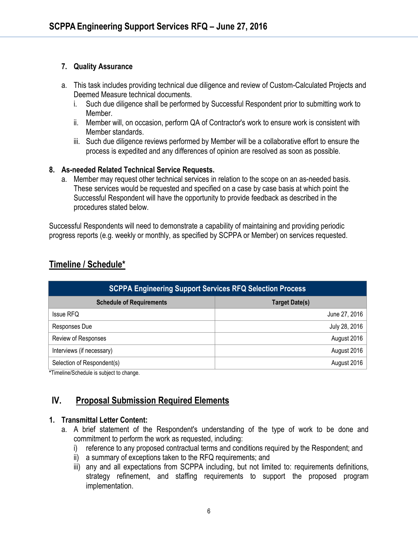#### **7. Quality Assurance**

- a. This task includes providing technical due diligence and review of Custom-Calculated Projects and Deemed Measure technical documents.
	- i. Such due diligence shall be performed by Successful Respondent prior to submitting work to Member.
	- ii. Member will, on occasion, perform QA of Contractor's work to ensure work is consistent with Member standards.
	- iii. Such due diligence reviews performed by Member will be a collaborative effort to ensure the process is expedited and any differences of opinion are resolved as soon as possible.

#### **8. As-needed Related Technical Service Requests.**

a. Member may request other technical services in relation to the scope on an as-needed basis. These services would be requested and specified on a case by case basis at which point the Successful Respondent will have the opportunity to provide feedback as described in the procedures stated below.

Successful Respondents will need to demonstrate a capability of maintaining and providing periodic progress reports (e.g. weekly or monthly, as specified by SCPPA or Member) on services requested.

# **Timeline / Schedule\***

| <b>SCPPA Engineering Support Services RFQ Selection Process</b> |                       |
|-----------------------------------------------------------------|-----------------------|
| <b>Schedule of Requirements</b>                                 | <b>Target Date(s)</b> |
| <b>Issue RFQ</b>                                                | June 27, 2016         |
| Responses Due                                                   | July 28, 2016         |
| Review of Responses                                             | August 2016           |
| Interviews (if necessary)                                       | August 2016           |
| Selection of Respondent(s)                                      | August 2016           |

**\***Timeline/Schedule is subject to change.

# **IV. Proposal Submission Required Elements**

#### **1. Transmittal Letter Content:**

- a. A brief statement of the Respondent's understanding of the type of work to be done and commitment to perform the work as requested, including:
	- i) reference to any proposed contractual terms and conditions required by the Respondent; and
	- ii) a summary of exceptions taken to the RFQ requirements; and
	- iii) any and all expectations from SCPPA including, but not limited to: requirements definitions, strategy refinement, and staffing requirements to support the proposed program implementation.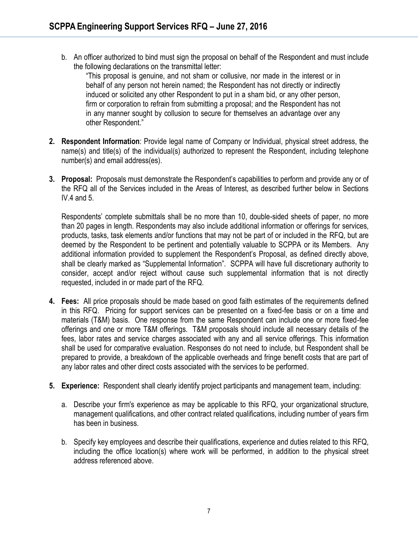b. An officer authorized to bind must sign the proposal on behalf of the Respondent and must include the following declarations on the transmittal letter:

"This proposal is genuine, and not sham or collusive, nor made in the interest or in behalf of any person not herein named; the Respondent has not directly or indirectly induced or solicited any other Respondent to put in a sham bid, or any other person, firm or corporation to refrain from submitting a proposal; and the Respondent has not in any manner sought by collusion to secure for themselves an advantage over any other Respondent."

- **2. Respondent Information**: Provide legal name of Company or Individual, physical street address, the name(s) and title(s) of the individual(s) authorized to represent the Respondent, including telephone number(s) and email address(es).
- **3. Proposal:** Proposals must demonstrate the Respondent's capabilities to perform and provide any or of the RFQ all of the Services included in the Areas of Interest, as described further below in Sections IV.4 and 5.

Respondents' complete submittals shall be no more than 10, double-sided sheets of paper, no more than 20 pages in length. Respondents may also include additional information or offerings for services, products, tasks, task elements and/or functions that may not be part of or included in the RFQ, but are deemed by the Respondent to be pertinent and potentially valuable to SCPPA or its Members. Any additional information provided to supplement the Respondent's Proposal, as defined directly above, shall be clearly marked as "Supplemental Information". SCPPA will have full discretionary authority to consider, accept and/or reject without cause such supplemental information that is not directly requested, included in or made part of the RFQ.

- **4. Fees:** All price proposals should be made based on good faith estimates of the requirements defined in this RFQ. Pricing for support services can be presented on a fixed-fee basis or on a time and materials (T&M) basis. One response from the same Respondent can include one or more fixed-fee offerings and one or more T&M offerings. T&M proposals should include all necessary details of the fees, labor rates and service charges associated with any and all service offerings. This information shall be used for comparative evaluation. Responses do not need to include, but Respondent shall be prepared to provide, a breakdown of the applicable overheads and fringe benefit costs that are part of any labor rates and other direct costs associated with the services to be performed.
- **5. Experience:** Respondent shall clearly identify project participants and management team, including:
	- a. Describe your firm's experience as may be applicable to this RFQ, your organizational structure, management qualifications, and other contract related qualifications, including number of years firm has been in business.
	- b. Specify key employees and describe their qualifications, experience and duties related to this RFQ, including the office location(s) where work will be performed, in addition to the physical street address referenced above.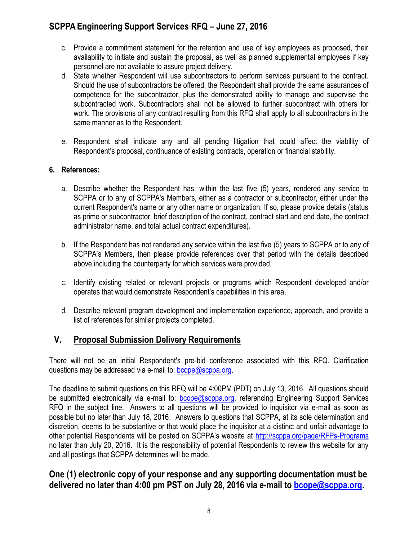- c. Provide a commitment statement for the retention and use of key employees as proposed, their availability to initiate and sustain the proposal, as well as planned supplemental employees if key personnel are not available to assure project delivery.
- d. State whether Respondent will use subcontractors to perform services pursuant to the contract. Should the use of subcontractors be offered, the Respondent shall provide the same assurances of competence for the subcontractor, plus the demonstrated ability to manage and supervise the subcontracted work. Subcontractors shall not be allowed to further subcontract with others for work. The provisions of any contract resulting from this RFQ shall apply to all subcontractors in the same manner as to the Respondent.
- e. Respondent shall indicate any and all pending litigation that could affect the viability of Respondent's proposal, continuance of existing contracts, operation or financial stability.

#### **6. References:**

- a. Describe whether the Respondent has, within the last five (5) years, rendered any service to SCPPA or to any of SCPPA's Members, either as a contractor or subcontractor, either under the current Respondent's name or any other name or organization. If so, please provide details (status as prime or subcontractor, brief description of the contract, contract start and end date, the contract administrator name, and total actual contract expenditures).
- b. If the Respondent has not rendered any service within the last five (5) years to SCPPA or to any of SCPPA's Members, then please provide references over that period with the details described above including the counterparty for which services were provided.
- c. Identify existing related or relevant projects or programs which Respondent developed and/or operates that would demonstrate Respondent's capabilities in this area.
- d. Describe relevant program development and implementation experience, approach, and provide a list of references for similar projects completed.

# **V. Proposal Submission Delivery Requirements**

There will not be an initial Respondent's pre-bid conference associated with this RFQ. Clarification questions may be addressed via e-mail to: [bcope@scppa.org.](mailto:bcope@scppa.org)

The deadline to submit questions on this RFQ will be 4:00PM (PDT) on July 13, 2016. All questions should be submitted electronically via e-mail to: **bcope@scppa.org**, referencing Engineering Support Services RFQ in the subject line. Answers to all questions will be provided to inquisitor via e-mail as soon as possible but no later than July 18, 2016. Answers to questions that SCPPA, at its sole determination and discretion, deems to be substantive or that would place the inquisitor at a distinct and unfair advantage to other potential Respondents will be posted on SCPPA's website at <http://scppa.org/page/RFPs-Programs> no later than July 20, 2016. It is the responsibility of potential Respondents to review this website for any and all postings that SCPPA determines will be made.

# **One (1) electronic copy of your response and any supporting documentation must be delivered no later than 4:00 pm PST on July 28, 2016 via e-mail to [bcope@scppa.org.](bcope@scppa.org)**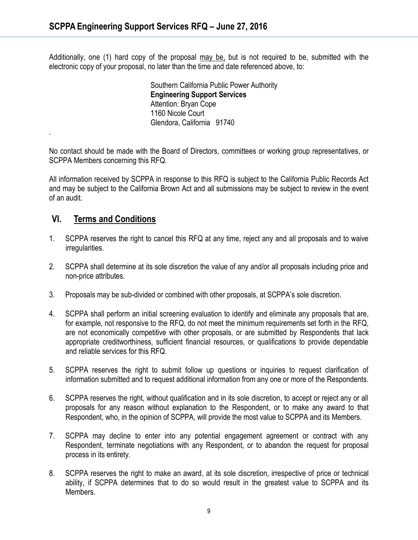Additionally, one (1) hard copy of the proposal may be, but is not required to be, submitted with the electronic copy of your proposal, no later than the time and date referenced above, to:

> Southern California Public Power Authority **Engineering Support Services** Attention: Bryan Cope 1160 Nicole Court Glendora, California 91740

No contact should be made with the Board of Directors, committees or working group representatives, or SCPPA Members concerning this RFQ.

All information received by SCPPA in response to this RFQ is subject to the California Public Records Act and may be subject to the California Brown Act and all submissions may be subject to review in the event of an audit.

### **VI. Terms and Conditions**

.

- 1. SCPPA reserves the right to cancel this RFQ at any time, reject any and all proposals and to waive irregularities.
- 2. SCPPA shall determine at its sole discretion the value of any and/or all proposals including price and non-price attributes.
- 3. Proposals may be sub-divided or combined with other proposals, at SCPPA's sole discretion.
- 4. SCPPA shall perform an initial screening evaluation to identify and eliminate any proposals that are, for example, not responsive to the RFQ, do not meet the minimum requirements set forth in the RFQ, are not economically competitive with other proposals, or are submitted by Respondents that lack appropriate creditworthiness, sufficient financial resources, or qualifications to provide dependable and reliable services for this RFQ.
- 5. SCPPA reserves the right to submit follow up questions or inquiries to request clarification of information submitted and to request additional information from any one or more of the Respondents.
- 6. SCPPA reserves the right, without qualification and in its sole discretion, to accept or reject any or all proposals for any reason without explanation to the Respondent, or to make any award to that Respondent, who, in the opinion of SCPPA, will provide the most value to SCPPA and its Members.
- 7. SCPPA may decline to enter into any potential engagement agreement or contract with any Respondent, terminate negotiations with any Respondent, or to abandon the request for proposal process in its entirety.
- 8. SCPPA reserves the right to make an award, at its sole discretion, irrespective of price or technical ability, if SCPPA determines that to do so would result in the greatest value to SCPPA and its Members.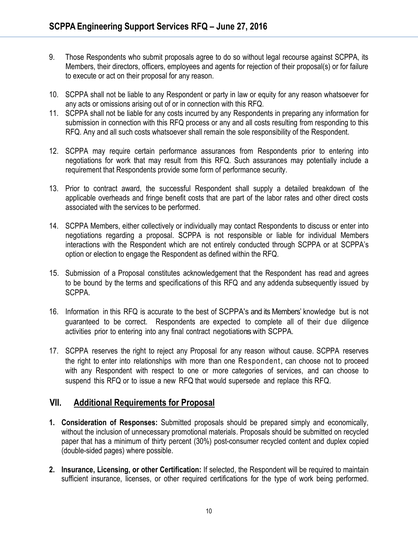- 9. Those Respondents who submit proposals agree to do so without legal recourse against SCPPA, its Members, their directors, officers, employees and agents for rejection of their proposal(s) or for failure to execute or act on their proposal for any reason.
- 10. SCPPA shall not be liable to any Respondent or party in law or equity for any reason whatsoever for any acts or omissions arising out of or in connection with this RFQ.
- 11. SCPPA shall not be liable for any costs incurred by any Respondents in preparing any information for submission in connection with this RFQ process or any and all costs resulting from responding to this RFQ. Any and all such costs whatsoever shall remain the sole responsibility of the Respondent.
- 12. SCPPA may require certain performance assurances from Respondents prior to entering into negotiations for work that may result from this RFQ. Such assurances may potentially include a requirement that Respondents provide some form of performance security.
- 13. Prior to contract award, the successful Respondent shall supply a detailed breakdown of the applicable overheads and fringe benefit costs that are part of the labor rates and other direct costs associated with the services to be performed.
- 14. SCPPA Members, either collectively or individually may contact Respondents to discuss or enter into negotiations regarding a proposal. SCPPA is not responsible or liable for individual Members interactions with the Respondent which are not entirely conducted through SCPPA or at SCPPA's option or election to engage the Respondent as defined within the RFQ.
- 15. Submission of a Proposal constitutes acknowledgement that the Respondent has read and agrees to be bound by the terms and specifications of this RFQ and any addenda subsequently issued by SCPPA.
- 16. Information in this RFQ is accurate to the best of SCPPA's and its Members' knowledge but is not guaranteed to be correct. Respondents are expected to complete all of their due diligence activities prior to entering into any final contract negotiationswith SCPPA.
- 17. SCPPA reserves the right to reject any Proposal for any reason without cause. SCPPA reserves the right to enter into relationships with more than one Respondent, can choose not to proceed with any Respondent with respect to one or more categories of services, and can choose to suspend this RFQ or to issue a new RFQ that would supersede and replace this RFQ.

# **VII. Additional Requirements for Proposal**

- **1. Consideration of Responses:** Submitted proposals should be prepared simply and economically, without the inclusion of unnecessary promotional materials. Proposals should be submitted on recycled paper that has a minimum of thirty percent (30%) post-consumer recycled content and duplex copied (double-sided pages) where possible.
- **2. Insurance, Licensing, or other Certification:** If selected, the Respondent will be required to maintain sufficient insurance, licenses, or other required certifications for the type of work being performed.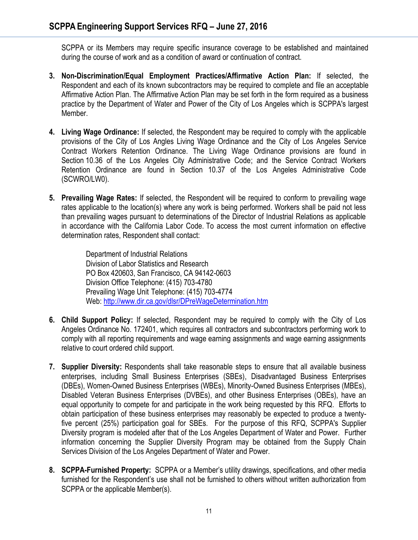SCPPA or its Members may require specific insurance coverage to be established and maintained during the course of work and as a condition of award or continuation of contract.

- **3. Non-Discrimination/Equal Employment Practices/Affirmative Action Plan:** If selected, the Respondent and each of its known subcontractors may be required to complete and file an acceptable Affirmative Action Plan. The Affirmative Action Plan may be set forth in the form required as a business practice by the Department of Water and Power of the City of Los Angeles which is SCPPA's largest Member.
- **4. Living Wage Ordinance:** If selected, the Respondent may be required to comply with the applicable provisions of the City of Los Angles Living Wage Ordinance and the City of Los Angeles Service Contract Workers Retention Ordinance. The Living Wage Ordinance provisions are found in Section 10.36 of the Los Angeles City Administrative Code; and the Service Contract Workers Retention Ordinance are found in Section 10.37 of the Los Angeles Administrative Code (SCWRO/LW0).
- **5. Prevailing Wage Rates:** If selected, the Respondent will be required to conform to prevailing wage rates applicable to the location(s) where any work is being performed. Workers shall be paid not less than prevailing wages pursuant to determinations of the Director of Industrial Relations as applicable in accordance with the California Labor Code. To access the most current information on effective determination rates, Respondent shall contact:

Department of Industrial Relations Division of Labor Statistics and Research PO Box 420603, San Francisco, CA 94142-0603 Division Office Telephone: (415) 703-4780 Prevailing Wage Unit Telephone: (415) 703-4774 Web[: http://www.dir.ca.gov/dlsr/DPreWageDetermination.htm](http://www.dir.ca.gov/dlsr/DPreWageDetermination.htm)

- **6. Child Support Policy:** If selected, Respondent may be required to comply with the City of Los Angeles Ordinance No. 172401, which requires all contractors and subcontractors performing work to comply with all reporting requirements and wage earning assignments and wage earning assignments relative to court ordered child support.
- **7. Supplier Diversity:** Respondents shall take reasonable steps to ensure that all available business enterprises, including Small Business Enterprises (SBEs), Disadvantaged Business Enterprises (DBEs), Women-Owned Business Enterprises (WBEs), Minority-Owned Business Enterprises (MBEs), Disabled Veteran Business Enterprises (DVBEs), and other Business Enterprises (OBEs), have an equal opportunity to compete for and participate in the work being requested by this RFQ. Efforts to obtain participation of these business enterprises may reasonably be expected to produce a twentyfive percent (25%) participation goal for SBEs. For the purpose of this RFQ, SCPPA's Supplier Diversity program is modeled after that of the Los Angeles Department of Water and Power. Further information concerning the Supplier Diversity Program may be obtained from the Supply Chain Services Division of the Los Angeles Department of Water and Power.
- **8. SCPPA-Furnished Property:** SCPPA or a Member's utility drawings, specifications, and other media furnished for the Respondent's use shall not be furnished to others without written authorization from SCPPA or the applicable Member(s).